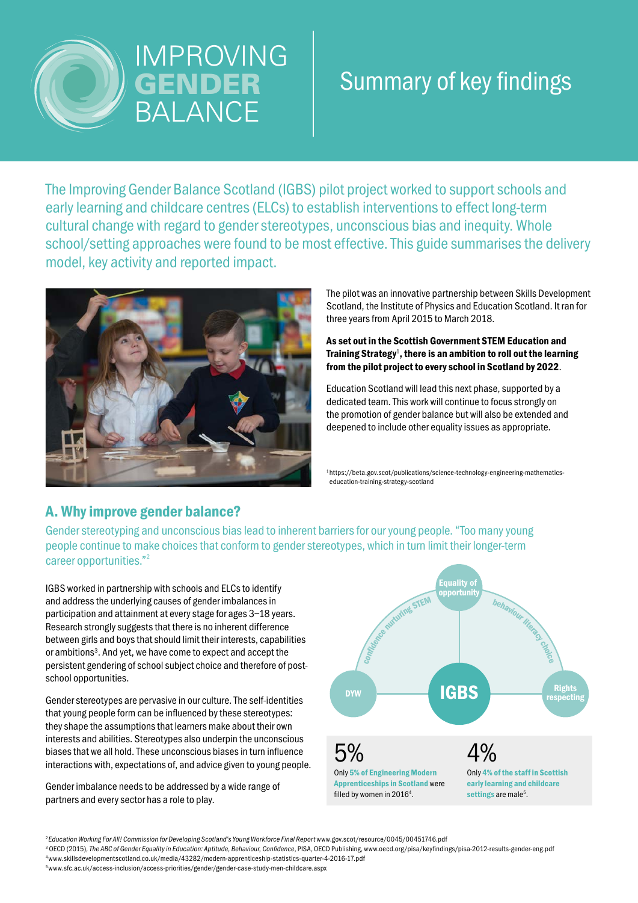

# IMPROVING **GENDER** BALANCE

# Summary of key findings

The Improving Gender Balance Scotland (IGBS) pilot project worked to support schools and early learning and childcare centres (ELCs) to establish interventions to effect long-term cultural change with regard to gender stereotypes, unconscious bias and inequity. Whole school/setting approaches were found to be most effective. This guide summarises the delivery model, key activity and reported impact.



The pilot was an innovative partnership between Skills Development Scotland, the Institute of Physics and Education Scotland. It ran for three years from April 2015 to March 2018.

As set out in the Scottish Government STEM Education and Training Strategy<sup>1</sup>, there is an ambition to roll out the learning from the pilot project to every school in Scotland by 2022.

Education Scotland will lead this next phase, supported by a dedicated team. This work will continue to focus strongly on the promotion of gender balance but will also be extended and deepened to include other equality issues as appropriate.

<sup>1</sup>https://beta.gov.scot/publications/science-technology-engineering-mathematicseducation-training-strategy-scotland

## A. Why improve gender balance?

Gender stereotyping and unconscious bias lead to inherent barriers for our young people. "Too many young people continue to make choices that conform to gender stereotypes, which in turn limit their longer-term career opportunities."2

IGBS worked in partnership with schools and ELCs to identify and address the underlying causes of gender imbalances in participation and attainment at every stage for ages 3–18 years. Research strongly suggests that there is no inherent difference between girls and boys that should limit their interests, capabilities or ambitions<sup>3</sup>. And yet, we have come to expect and accept the persistent gendering of school subject choice and therefore of postschool opportunities.

Gender stereotypes are pervasive in our culture. The self-identities that young people form can be influenced by these stereotypes: they shape the assumptions that learners make about their own interests and abilities. Stereotypes also underpin the unconscious biases that we all hold. These unconscious biases in turn influence interactions with, expectations of, and advice given to young people.

Gender imbalance needs to be addressed by a wide range of partners and every sector has a role to play.



<sup>2</sup> Education Working For All! Commission for Developing Scotland's Young Workforce Final Report www.gov.scot/resource/0045/00451746.pdf

<sup>3</sup> OECD (2015), The ABC of Gender Equality in Education: Aptitude, Behaviour, Confidence, PISA, OECD Publishing, www.oecd.org/pisa/keyfindings/pisa-2012-results-gender-eng.pdf<br><sup>4</sup>www.skillsdevelopmentscotland.co.uk/media/

5 www.sfc.ac.uk/access-inclusion/access-priorities/gender/gender-case-study-men-childcare.aspx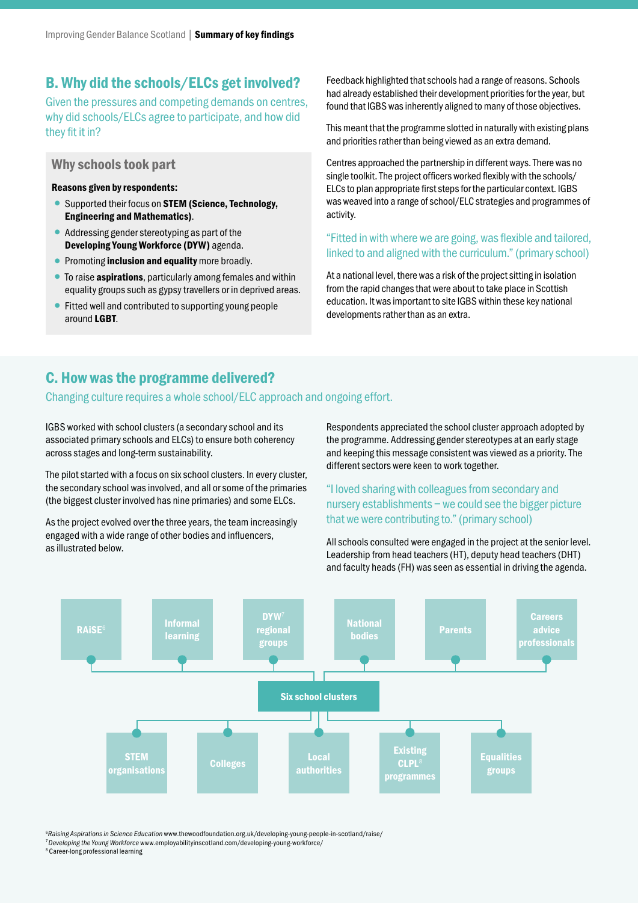## B. Why did the schools/ELCs get involved?

Given the pressures and competing demands on centres, why did schools/ELCs agree to participate, and how did they fit it in?

#### Why schools took part

#### Reasons given by respondents:

- Supported their focus on STEM (Science, Technology, Engineering and Mathematics).
- •Addressing gender stereotyping as part of the Developing Young Workforce (DYW) agenda.
- Promoting **inclusion and equality** more broadly.
- To raise **aspirations**, particularly among females and within equality groups such as gypsy travellers or in deprived areas.
- Fitted well and contributed to supporting young people around LGBT.

Feedback highlighted that schools had a range of reasons. Schools had already established their development priorities for the year, but found that IGBS was inherently aligned to many of those objectives.

This meant that the programme slotted in naturally with existing plans and priorities rather than being viewed as an extra demand.

Centres approached the partnership in different ways. There was no single toolkit. The project officers worked flexibly with the schools/ ELCs to plan appropriate first steps for the particular context. IGBS was weaved into a range of school/ELC strategies and programmes of activity.

### "Fitted in with where we are going, was flexible and tailored, linked to and aligned with the curriculum." (primary school)

At a national level, there was a risk of the project sitting in isolation from the rapid changes that were about to take place in Scottish education. It was important to site IGBS within these key national developments rather than as an extra.

## C. How was the programme delivered?

### Changing culture requires a whole school/ELC approach and ongoing effort.

IGBS worked with school clusters (a secondary school and its associated primary schools and ELCs) to ensure both coherency across stages and long-term sustainability.

The pilot started with a focus on six school clusters. In every cluster, the secondary school was involved, and all or some of the primaries (the biggest cluster involved has nine primaries) and some ELCs.

As the project evolved over the three years, the team increasingly engaged with a wide range of other bodies and influencers, as illustrated below.

Respondents appreciated the school cluster approach adopted by the programme. Addressing gender stereotypes at an early stage and keeping this message consistent was viewed as a priority. The different sectors were keen to work together.

"I loved sharing with colleagues from secondary and nursery establishments – we could see the bigger picture that we were contributing to." (primary school)

All schools consulted were engaged in the project at the senior level. Leadership from head teachers (HT), deputy head teachers (DHT) and faculty heads (FH) was seen as essential in driving the agenda.



6 *Raising Aspirations in Science Education* www.thewoodfoundation.org.uk/developing-young-people-in-scotland/raise/

<sup>7</sup>*Developing the Young Workforce* www.employabilityinscotland.com/developing-young-workforce/ 8 Career-long professional learning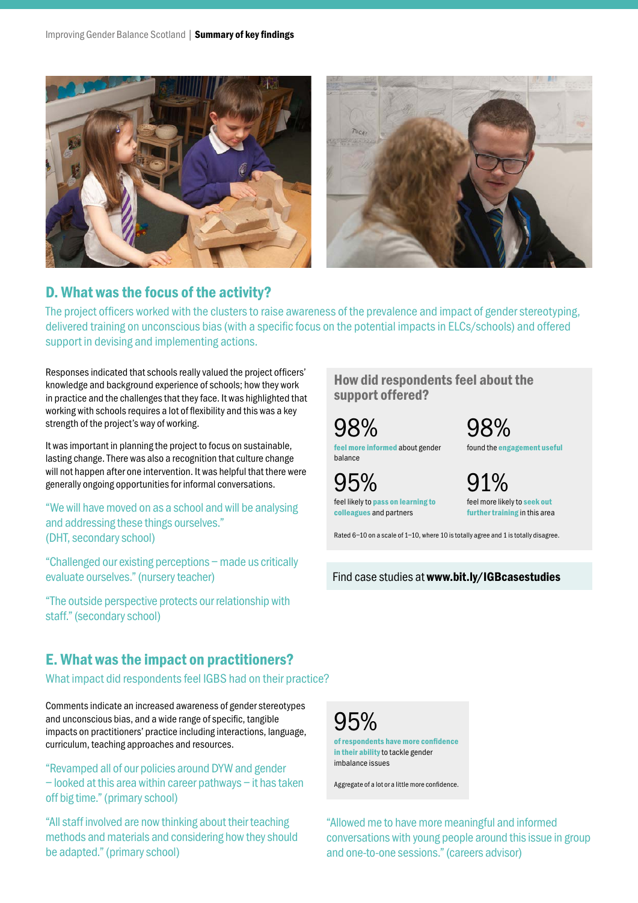

## D. What was the focus of the activity?

The project officers worked with the clusters to raise awareness of the prevalence and impact of gender stereotyping, delivered training on unconscious bias (with a specific focus on the potential impacts in ELCs/schools) and offered support in devising and implementing actions.

Responses indicated that schools really valued the project officers' knowledge and background experience of schools; how they work in practice and the challenges that they face. It was highlighted that working with schools requires a lot of flexibility and this was a key strength of the project's way of working.

It was important in planning the project to focus on sustainable, lasting change. There was also a recognition that culture change will not happen after one intervention. It was helpful that there were generally ongoing opportunities for informal conversations.

"We will have moved on as a school and will be analysing and addressing these things ourselves." (DHT, secondary school)

"Challenged our existing perceptions – made us critically evaluate ourselves." (nursery teacher)

"The outside perspective protects our relationship with staff." (secondary school)

## E. What was the impact on practitioners?

What impact did respondents feel IGBS had on their practice?

Comments indicate an increased awareness of gender stereotypes and unconscious bias, and a wide range of specific, tangible impacts on practitioners' practice including interactions, language, curriculum, teaching approaches and resources.

"Revamped all of our policies around DYW and gender – looked at this area within career pathways – it has taken off big time." (primary school)

"All staff involved are now thinking about their teaching methods and materials and considering how they should be adapted." (primary school)

## How did respondents feel about the support offered?

feel more informed about gender balance 98%

feel likely to pass on learning to colleagues and partners

95%



found the engagement useful

feel more likely to seek out further training in this area  $1\%$ 

Rated 6–10 on a scale of 1–10, where 10 is totally agree and 1 is totally disagree.

Find case studies at www.bit.ly/IGBcasestudies

of respondents have more confidence in their ability to tackle gender imbalance issues 95%

Aggregate of a lot or a little more confidence.

"Allowed me to have more meaningful and informed conversations with young people around this issue in group and one-to-one sessions." (careers advisor)